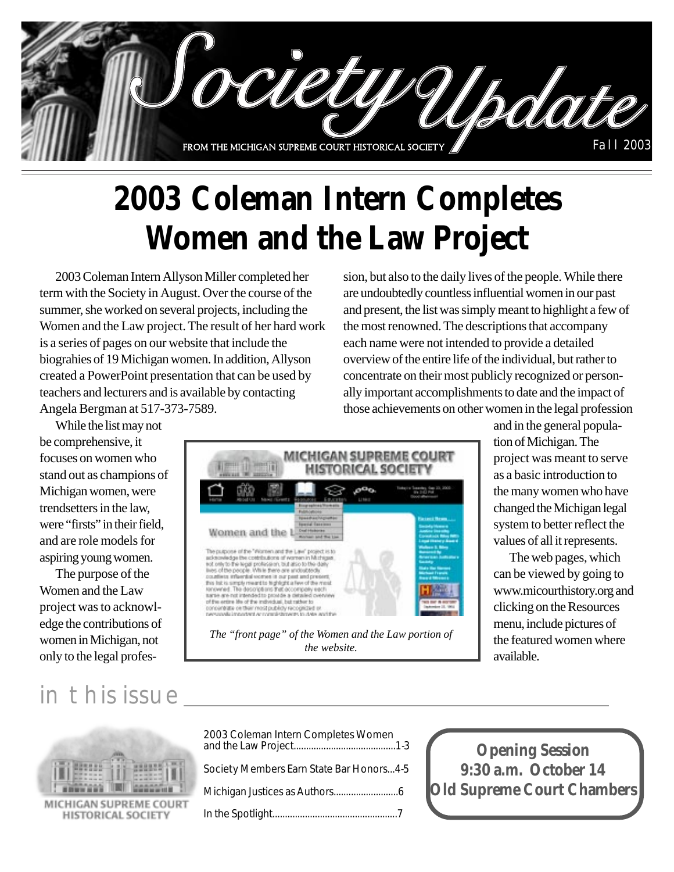

# **2003 Coleman Intern Completes Women and the Law Project**

2003 Coleman Intern Allyson Miller completed her term with the Society in August. Over the course of the summer, she worked on several projects, including the Women and the Law project. The result of her hard work is a series of pages on our website that include the biograhies of 19 Michigan women. In addition, Allyson created a PowerPoint presentation that can be used by teachers and lecturers and is available by contacting Angela Bergman at 517-373-7589.

sion, but also to the daily lives of the people. While there are undoubtedly countless influential women in our past and present, the list was simply meant to highlight a few of the most renowned. The descriptions that accompany each name were not intended to provide a detailed overview of the entire life of the individual, but rather to concentrate on their most publicly recognized or personally important accomplishments to date and the impact of those achievements on other women in the legal profession

While the list may not be comprehensive, it focuses on women who stand out as champions of Michigan women, were trendsetters in the law, were "firsts" in their field. and are role models for aspiring young women.

The purpose of the Women and the Law project was to acknowledge the contributions of women in Michigan, not only to the legal profes-



and in the general population of Michigan. The project was meant to serve as a basic introduction to the many women who have changed the Michigan legal system to better reflect the values of all it represents.

The web pages, which can be viewed by going to www.micourthistory.org and clicking on the Resources menu, include pictures of the featured women where available.

### in this issue



MICHIGAN SUPREME COURT HISTORICAL SOCIETY

| 2003 Coleman Intern Completes Women      |  |
|------------------------------------------|--|
| Society Members Earn State Bar Honors4-5 |  |
|                                          |  |
|                                          |  |

**Opening Session 9:30 a.m. October 14 Old Supreme Court Chambers**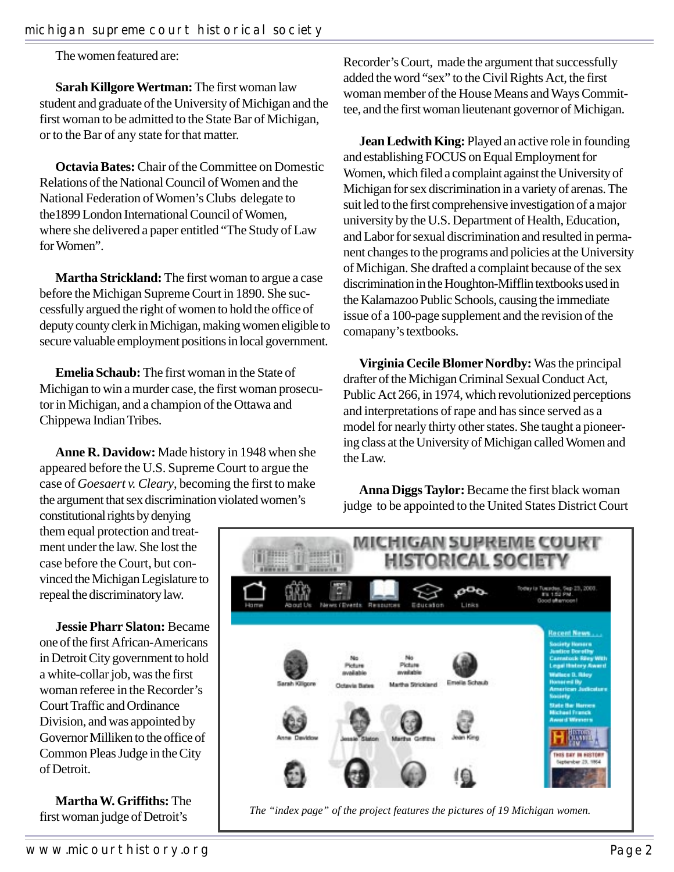The women featured are:

**Sarah Killgore Wertman:** The first woman law student and graduate of the University of Michigan and the first woman to be admitted to the State Bar of Michigan, or to the Bar of any state for that matter.

**Octavia Bates:** Chair of the Committee on Domestic Relations of the National Council of Women and the National Federation of Women's Clubs delegate to the1899 London International Council of Women, where she delivered a paper entitled "The Study of Law for Women".

**Martha Strickland:** The first woman to argue a case before the Michigan Supreme Court in 1890. She successfully argued the right of women to hold the office of deputy county clerk in Michigan, making women eligible to secure valuable employment positions in local government.

**Emelia Schaub:** The first woman in the State of Michigan to win a murder case, the first woman prosecutor in Michigan, and a champion of the Ottawa and Chippewa Indian Tribes.

**Anne R. Davidow:** Made history in 1948 when she appeared before the U.S. Supreme Court to argue the case of *Goesaert v. Cleary*, becoming the first to make the argument that sex discrimination violated women's

constitutional rights by denying them equal protection and treatment under the law. She lost the case before the Court, but convinced the Michigan Legislature to repeal the discriminatory law.

**Jessie Pharr Slaton:** Became one of the first African-Americans in Detroit City government to hold a white-collar job, was the first woman referee in the Recorder's Court Traffic and Ordinance Division, and was appointed by Governor Milliken to the office of Common Pleas Judge in the City of Detroit.

**Martha W. Griffiths:** The first woman judge of Detroit's

Recorder's Court, made the argument that successfully added the word "sex" to the Civil Rights Act, the first woman member of the House Means and Ways Committee, and the first woman lieutenant governor of Michigan.

**Jean Ledwith King:** Played an active role in founding and establishing FOCUS on Equal Employment for Women, which filed a complaint against the University of Michigan for sex discrimination in a variety of arenas. The suit led to the first comprehensive investigation of a major university by the U.S. Department of Health, Education, and Labor for sexual discrimination and resulted in permanent changes to the programs and policies at the University of Michigan. She drafted a complaint because of the sex discrimination in the Houghton-Mifflin textbooks used in the Kalamazoo Public Schools, causing the immediate issue of a 100-page supplement and the revision of the comapany's textbooks.

**Virginia Cecile Blomer Nordby:** Was the principal drafter of the Michigan Criminal Sexual Conduct Act, Public Act 266, in 1974, which revolutionized perceptions and interpretations of rape and has since served as a model for nearly thirty other states. She taught a pioneering class at the University of Michigan called Women and the Law.

**Anna Diggs Taylor:** Became the first black woman judge to be appointed to the United States District Court



*The "index page" of the project features the pictures of 19 Michigan women.*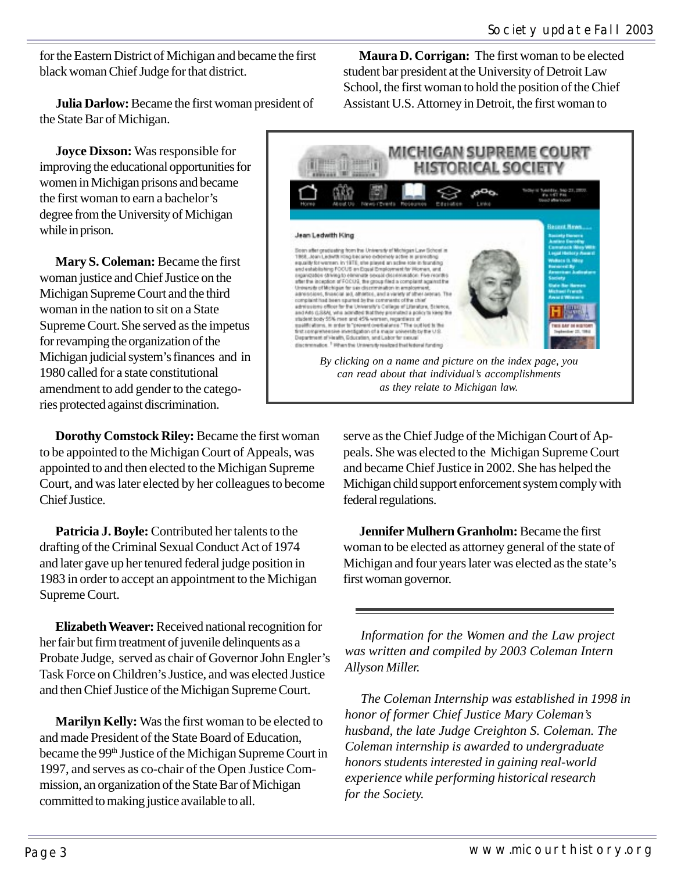for the Eastern District of Michigan and became the first black woman Chief Judge for that district.

**Julia Darlow:** Became the first woman president of the State Bar of Michigan.

**Joyce Dixson:** Was responsible for improving the educational opportunities for women in Michigan prisons and became the first woman to earn a bachelor's degree from the University of Michigan while in prison.

**Mary S. Coleman:** Became the first woman justice and Chief Justice on the Michigan Supreme Court and the third woman in the nation to sit on a State Supreme Court.She served as the impetus for revamping the organization of the Michigan judicial system's finances and in 1980 called for a state constitutional amendment to add gender to the categories protected against discrimination.

**Dorothy Comstock Riley:** Became the first woman to be appointed to the Michigan Court of Appeals, was appointed to and then elected to the Michigan Supreme Court, and was later elected by her colleagues to become Chief Justice.

**Patricia J. Boyle:** Contributed her talents to the drafting of the Criminal Sexual Conduct Act of 1974 and later gave up her tenured federal judge position in 1983 in order to accept an appointment to the Michigan Supreme Court.

**Elizabeth Weaver:** Received national recognition for her fair but firm treatment of juvenile delinquents as a Probate Judge, served as chair of Governor John Engler's Task Force on Children's Justice, and was elected Justice and then Chief Justice of the Michigan Supreme Court.

**Marilyn Kelly:** Was the first woman to be elected to and made President of the State Board of Education, became the 99<sup>th</sup> Justice of the Michigan Supreme Court in 1997, and serves as co-chair of the Open Justice Commission, an organization of the State Bar of Michigan committed to making justice available to all.

**Maura D. Corrigan:** The first woman to be elected student bar president at the University of Detroit Law School, the first woman to hold the position of the Chief Assistant U.S. Attorney in Detroit, the first woman to



serve as the Chief Judge of the Michigan Court of Appeals. She was elected to the Michigan Supreme Court and became Chief Justice in 2002. She has helped the Michigan child support enforcement system comply with federal regulations.

**Jennifer Mulhern Granholm:** Became the first woman to be elected as attorney general of the state of Michigan and four years later was elected as the state's first woman governor.

*Information for the Women and the Law project was written and compiled by 2003 Coleman Intern Allyson Miller.*

*The Coleman Internship was established in 1998 in honor of former Chief Justice Mary Coleman's husband, the late Judge Creighton S. Coleman. The Coleman internship is awarded to undergraduate honors students interested in gaining real-world experience while performing historical research for the Society.*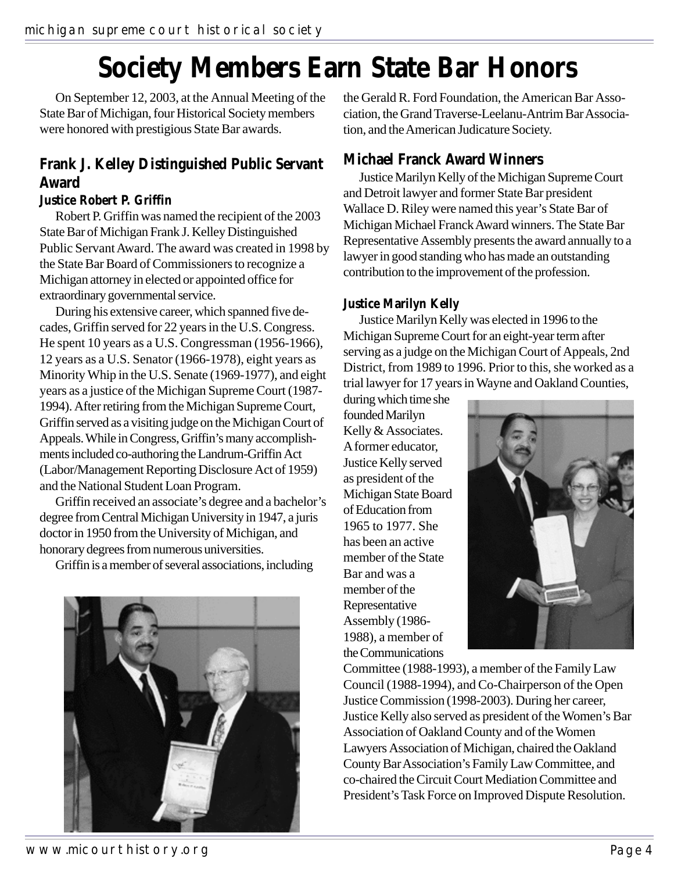## **Society Members Earn State Bar Honors**

On September 12, 2003, at the Annual Meeting of the State Bar of Michigan, four Historical Society members were honored with prestigious State Bar awards.

#### **Frank J. Kelley Distinguished Public Servant Award**

#### **Justice Robert P. Griffin**

Robert P. Griffin was named the recipient of the 2003 State Bar of Michigan Frank J. Kelley Distinguished Public Servant Award. The award was created in 1998 by the State Bar Board of Commissioners to recognize a Michigan attorney in elected or appointed office for extraordinary governmental service.

During his extensive career, which spanned five decades, Griffin served for 22 years in the U.S. Congress. He spent 10 years as a U.S. Congressman (1956-1966), 12 years as a U.S. Senator (1966-1978), eight years as Minority Whip in the U.S. Senate (1969-1977), and eight years as a justice of the Michigan Supreme Court (1987- 1994). After retiring from the Michigan Supreme Court, Griffin served as a visiting judge on the Michigan Court of Appeals. While in Congress, Griffin's many accomplishments included co-authoring the Landrum-Griffin Act (Labor/Management Reporting Disclosure Act of 1959) and the National Student Loan Program.

Griffin received an associate's degree and a bachelor's degree from Central Michigan University in 1947, a juris doctor in 1950 from the University of Michigan, and honorary degrees from numerous universities.

Griffin is a member of several associations, including

the Gerald R. Ford Foundation, the American Bar Association, the Grand Traverse-Leelanu-Antrim Bar Association, and the American Judicature Society.

#### **Michael Franck Award Winners**

Justice Marilyn Kelly of the Michigan Supreme Court and Detroit lawyer and former State Bar president Wallace D. Riley were named this year's State Bar of Michigan Michael Franck Award winners. The State Bar Representative Assembly presents the award annually to a lawyer in good standing who has made an outstanding contribution to the improvement of the profession.

#### **Justice Marilyn Kelly**

Justice Marilyn Kelly was elected in 1996 to the Michigan Supreme Court for an eight-year term after serving as a judge on the Michigan Court of Appeals, 2nd District, from 1989 to 1996. Prior to this, she worked as a trial lawyer for 17 years in Wayne and Oakland Counties,

during which time she founded Marilyn Kelly & Associates. A former educator, Justice Kelly served as president of the Michigan State Board of Education from 1965 to 1977. She has been an active member of the State Bar and was a member of the Representative Assembly (1986- 1988), a member of the Communications



Committee (1988-1993), a member of the Family Law Council (1988-1994), and Co-Chairperson of the Open Justice Commission (1998-2003). During her career, Justice Kelly also served as president of the Women's Bar Association of Oakland County and of the Women Lawyers Association of Michigan, chaired the Oakland County Bar Association's Family Law Committee, and co-chaired the Circuit Court Mediation Committee and President's Task Force on Improved Dispute Resolution.

www.micourthistory.org example and the example of the example of the example of the example of the example of the example of the example of the example of the example of the example of the example of the example of the exa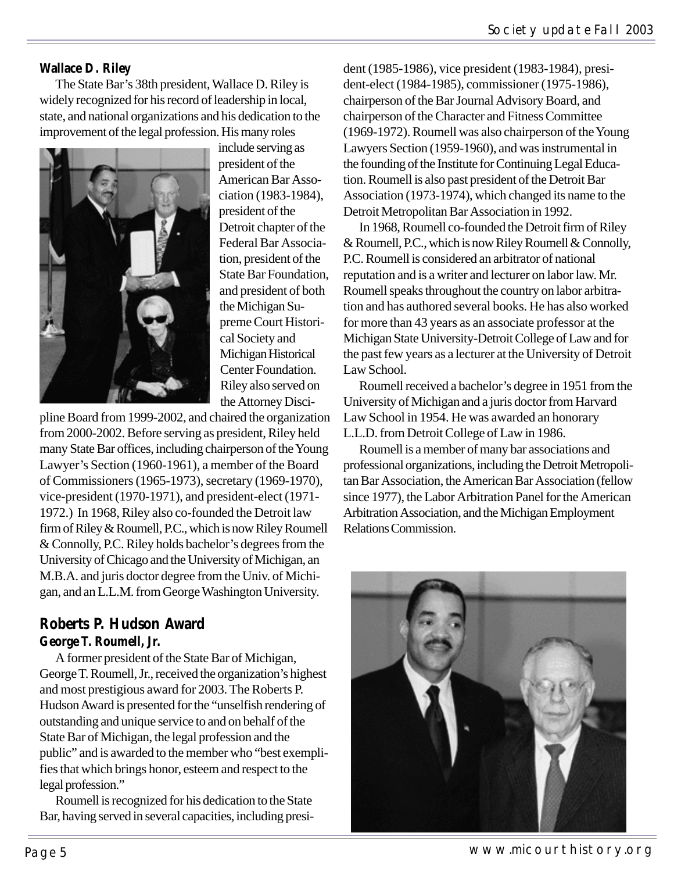#### **Wallace D. Riley**

The State Bar's 38th president, Wallace D. Riley is widely recognized for his record of leadership in local, state, and national organizations and his dedication to the improvement of the legal profession. His many roles



include serving as president of the American Bar Association (1983-1984), president of the Detroit chapter of the Federal Bar Association, president of the State Bar Foundation, and president of both the Michigan Supreme Court Historical Society and Michigan Historical Center Foundation. Riley also served on the Attorney Disci-

pline Board from 1999-2002, and chaired the organization from 2000-2002. Before serving as president, Riley held many State Bar offices, including chairperson of the Young Lawyer's Section (1960-1961), a member of the Board of Commissioners (1965-1973), secretary (1969-1970), vice-president (1970-1971), and president-elect (1971- 1972.) In 1968, Riley also co-founded the Detroit law firm of Riley & Roumell, P.C., which is now Riley Roumell & Connolly, P.C. Riley holds bachelor's degrees from the University of Chicago and the University of Michigan, an M.B.A. and juris doctor degree from the Univ. of Michigan, and an L.L.M. from George Washington University.

#### **Roberts P. Hudson Award George T. Roumell, Jr.**

A former president of the State Bar of Michigan, George T. Roumell, Jr., received the organization's highest and most prestigious award for 2003. The Roberts P. Hudson Award is presented for the "unselfish rendering of outstanding and unique service to and on behalf of the State Bar of Michigan, the legal profession and the public" and is awarded to the member who "best exemplifies that which brings honor, esteem and respect to the legal profession."

Roumell is recognized for his dedication to the State Bar, having served in several capacities, including president (1985-1986), vice president (1983-1984), president-elect (1984-1985), commissioner (1975-1986), chairperson of the Bar Journal Advisory Board, and chairperson of the Character and Fitness Committee (1969-1972). Roumell was also chairperson of the Young Lawyers Section (1959-1960), and was instrumental in the founding of the Institute for Continuing Legal Education. Roumell is also past president of the Detroit Bar Association (1973-1974), which changed its name to the Detroit Metropolitan Bar Association in 1992.

In 1968, Roumell co-founded the Detroit firm of Riley & Roumell, P.C., which is now Riley Roumell & Connolly, P.C. Roumell is considered an arbitrator of national reputation and is a writer and lecturer on labor law. Mr. Roumell speaks throughout the country on labor arbitration and has authored several books. He has also worked for more than 43 years as an associate professor at the Michigan State University-Detroit College of Law and for the past few years as a lecturer at the University of Detroit Law School.

Roumell received a bachelor's degree in 1951 from the University of Michigan and a juris doctor from Harvard Law School in 1954. He was awarded an honorary L.L.D. from Detroit College of Law in 1986.

Roumell is a member of many bar associations and professional organizations, including the Detroit Metropolitan Bar Association, the American Bar Association (fellow since 1977), the Labor Arbitration Panel for the American Arbitration Association, and the Michigan Employment Relations Commission.



Page 5 and 2008 and 2009 www.micourthistory.org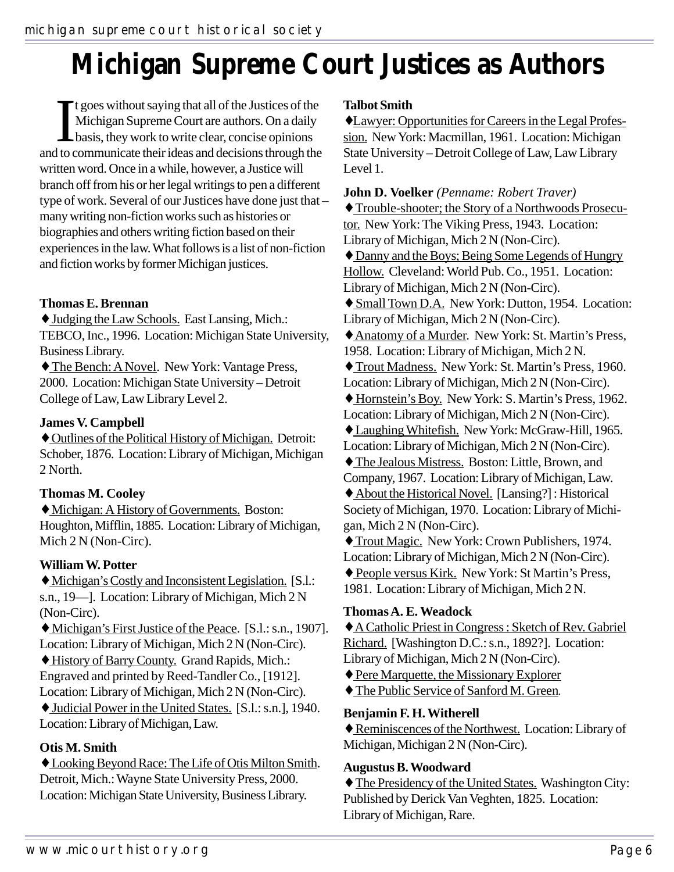## **Michigan Supreme Court Justices as Authors**

It goes without saying that all of the Justices of the Michigan Supreme Court are authors. On a daily basis, they work to write clear, concise opinions and to communicate their ideas and decisions through the t goes without saying that all of the Justices of the Michigan Supreme Court are authors. On a daily basis, they work to write clear, concise opinions written word. Once in a while, however, a Justice will branch off from his or her legal writings to pen a different type of work. Several of our Justices have done just that – many writing non-fiction works such as histories or biographies and others writing fiction based on their experiences in the law. What follows is a list of non-fiction and fiction works by former Michigan justices.

#### **Thomas E. Brennan**

♦ Judging the Law Schools. East Lansing, Mich.: TEBCO, Inc., 1996. Location: Michigan State University, Business Library.

♦ The Bench: A Novel. New York: Vantage Press, 2000. Location: Michigan State University – Detroit College of Law, Law Library Level 2.

#### **James V. Campbell**

♦ Outlines of the Political History of Michigan. Detroit: Schober, 1876. Location: Library of Michigan, Michigan 2 North.

#### **Thomas M. Cooley**

♦ Michigan: A History of Governments. Boston: Houghton, Mifflin, 1885. Location: Library of Michigan, Mich 2 N (Non-Circ).

#### **William W. Potter**

♦ Michigan's Costly and Inconsistent Legislation. [S.l.: s.n., 19—]. Location: Library of Michigan, Mich 2 N (Non-Circ).

♦ Michigan's First Justice of the Peace. [S.l.: s.n., 1907]. Location: Library of Michigan, Mich 2 N (Non-Circ).

♦ History of Barry County. Grand Rapids, Mich.: Engraved and printed by Reed-Tandler Co., [1912]. Location: Library of Michigan, Mich 2 N (Non-Circ).

♦ Judicial Power in the United States. [S.l.: s.n.], 1940. Location: Library of Michigan, Law.

#### **Otis M. Smith**

♦ Looking Beyond Race: The Life of Otis Milton Smith. Detroit, Mich.: Wayne State University Press, 2000. Location: Michigan State University, Business Library.

#### **Talbot Smith**

♦Lawyer: Opportunities for Careers in the Legal Profession. New York: Macmillan, 1961. Location: Michigan State University – Detroit College of Law, Law Library Level 1.

**John D. Voelker** *(Penname: Robert Traver)* ♦ Trouble-shooter; the Story of a Northwoods Prosecutor. New York: The Viking Press, 1943. Location: Library of Michigan, Mich 2 N (Non-Circ). ♦ Danny and the Boys; Being Some Legends of Hungry Hollow. Cleveland: World Pub. Co., 1951. Location: Library of Michigan, Mich 2 N (Non-Circ). ♦ Small Town D.A. New York: Dutton, 1954. Location: Library of Michigan, Mich 2 N (Non-Circ). ♦Anatomy of a Murder. New York: St. Martin's Press, 1958. Location: Library of Michigan, Mich 2 N. ♦ Trout Madness. New York: St. Martin's Press, 1960. Location: Library of Michigan, Mich 2 N (Non-Circ). ♦ Hornstein's Boy. New York: S. Martin's Press, 1962. Location: Library of Michigan, Mich 2 N (Non-Circ). ♦ Laughing Whitefish. New York: McGraw-Hill, 1965. Location: Library of Michigan, Mich 2 N (Non-Circ). ♦ The Jealous Mistress. Boston: Little, Brown, and Company, 1967. Location: Library of Michigan, Law. ♦ About the Historical Novel. [Lansing?] : Historical Society of Michigan, 1970. Location: Library of Michigan, Mich 2 N (Non-Circ). ♦ Trout Magic. New York: Crown Publishers, 1974. Location: Library of Michigan, Mich 2 N (Non-Circ).

♦ People versus Kirk. New York: St Martin's Press, 1981. Location: Library of Michigan, Mich 2 N.

#### **Thomas A. E. Weadock**

♦A Catholic Priest in Congress : Sketch of Rev. Gabriel Richard. [Washington D.C.: s.n., 1892?]. Location: Library of Michigan, Mich 2 N (Non-Circ).

♦ Pere Marquette, the Missionary Explorer

♦ The Public Service of Sanford M. Green*.*

#### **Benjamin F. H. Witherell**

♦ Reminiscences of the Northwest. Location: Library of Michigan, Michigan 2 N (Non-Circ).

#### **Augustus B. Woodward**

♦ The Presidency of the United States. Washington City: Published by Derick Van Veghten, 1825. Location: Library of Michigan, Rare.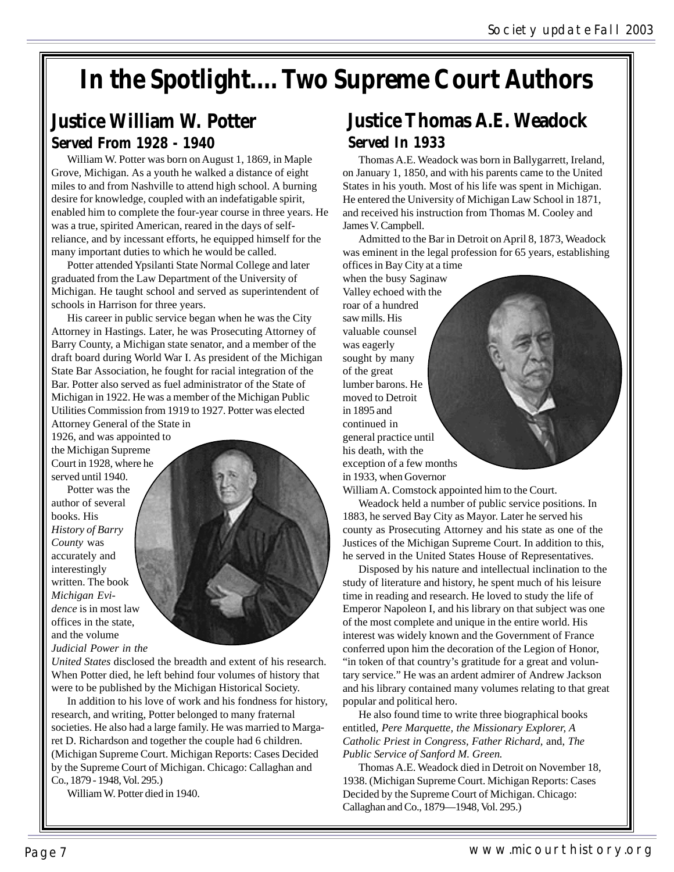## **In the Spotlight.... Two Supreme Court Authors**

### **Justice William W. Potter Served From 1928 - 1940**

William W. Potter was born on August 1, 1869, in Maple Grove, Michigan. As a youth he walked a distance of eight miles to and from Nashville to attend high school. A burning desire for knowledge, coupled with an indefatigable spirit, enabled him to complete the four-year course in three years. He was a true, spirited American, reared in the days of selfreliance, and by incessant efforts, he equipped himself for the many important duties to which he would be called.

Potter attended Ypsilanti State Normal College and later graduated from the Law Department of the University of Michigan. He taught school and served as superintendent of schools in Harrison for three years.

His career in public service began when he was the City Attorney in Hastings. Later, he was Prosecuting Attorney of Barry County, a Michigan state senator, and a member of the draft board during World War I. As president of the Michigan State Bar Association, he fought for racial integration of the Bar. Potter also served as fuel administrator of the State of Michigan in 1922. He was a member of the Michigan Public Utilities Commission from 1919 to 1927. Potter was elected Attorney General of the State in

1926, and was appointed to the Michigan Supreme Court in 1928, where he served until 1940.

Potter was the author of several books. His *History of Barry County* was accurately and interestingly written. The book *Michigan Evidence* is in most law offices in the state, and the volume *Judicial Power in the*



*United States* disclosed the breadth and extent of his research. When Potter died, he left behind four volumes of history that were to be published by the Michigan Historical Society.

In addition to his love of work and his fondness for history, research, and writing, Potter belonged to many fraternal societies. He also had a large family. He was married to Margaret D. Richardson and together the couple had 6 children. (Michigan Supreme Court. Michigan Reports: Cases Decided by the Supreme Court of Michigan. Chicago: Callaghan and Co., 1879 - 1948, Vol. 295.)

William W. Potter died in 1940.

### **Justice Thomas A.E. Weadock Served In 1933**

Thomas A.E. Weadock was born in Ballygarrett, Ireland, on January 1, 1850, and with his parents came to the United States in his youth. Most of his life was spent in Michigan. He entered the University of Michigan Law School in 1871, and received his instruction from Thomas M. Cooley and James V. Campbell.

Admitted to the Bar in Detroit on April 8, 1873, Weadock was eminent in the legal profession for 65 years, establishing offices in Bay City at a time

when the busy Saginaw Valley echoed with the roar of a hundred saw mills. His valuable counsel was eagerly sought by many of the great lumber barons. He moved to Detroit in 1895 and continued in general practice until his death, with the exception of a few months in 1933, when Governor

William A. Comstock appointed him to the Court.

Weadock held a number of public service positions. In 1883, he served Bay City as Mayor. Later he served his county as Prosecuting Attorney and his state as one of the Justices of the Michigan Supreme Court. In addition to this, he served in the United States House of Representatives.

Disposed by his nature and intellectual inclination to the study of literature and history, he spent much of his leisure time in reading and research. He loved to study the life of Emperor Napoleon I, and his library on that subject was one of the most complete and unique in the entire world. His interest was widely known and the Government of France conferred upon him the decoration of the Legion of Honor, "in token of that country's gratitude for a great and voluntary service." He was an ardent admirer of Andrew Jackson and his library contained many volumes relating to that great popular and political hero.

He also found time to write three biographical books entitled, *Pere Marquette, the Missionary Explorer, A Catholic Priest in Congress, Father Richard,* and, *The Public Service of Sanford M. Green.*

Thomas A.E. Weadock died in Detroit on November 18, 1938. (Michigan Supreme Court. Michigan Reports: Cases Decided by the Supreme Court of Michigan. Chicago: Callaghan and Co., 1879—1948, Vol. 295.)